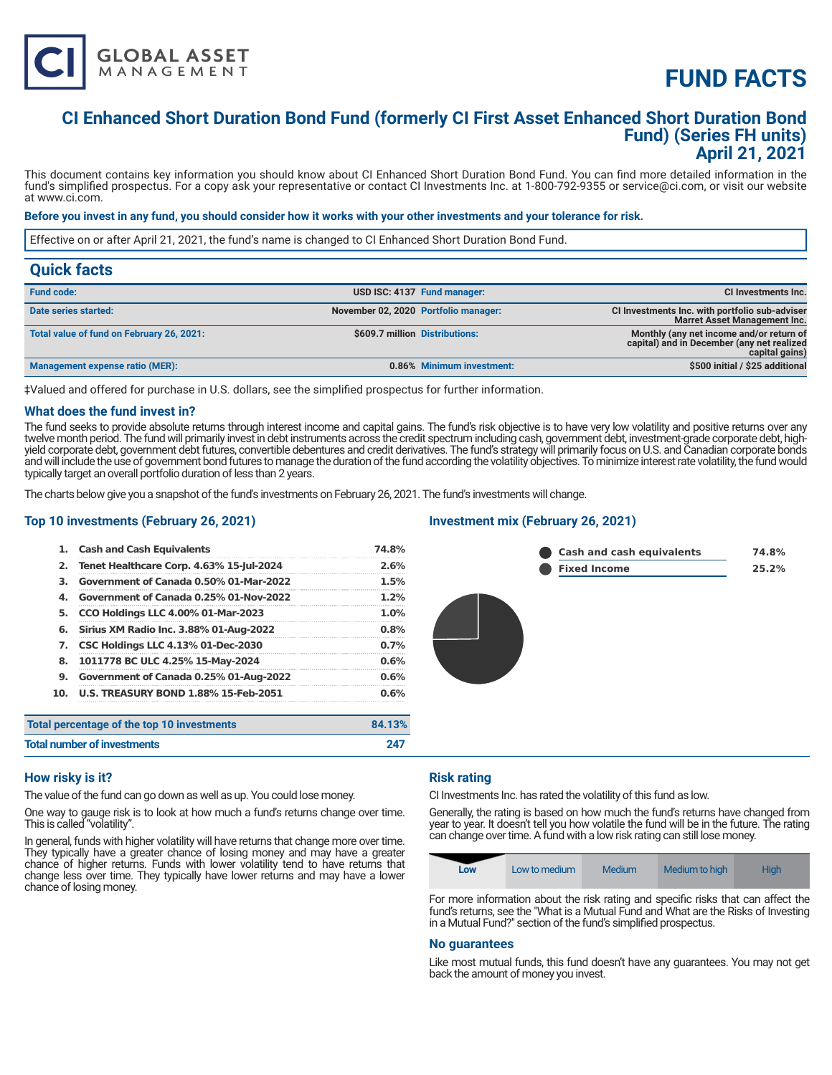# **FUND FACTS**

### **CI Enhanced Short Duration Bond Fund (formerly CI First Asset Enhanced Short Duration Bond Fund) (Series FH units) April 21, 2021**

This document contains key information you should know about CI Enhanced Short Duration Bond Fund. You can find more detailed information in the fund's simplified prospectus. For a copy ask your representative or contact CI Investments Inc. at 1-800-792-9355 or service@ci.com, or visit our website at www.ci.com.

#### **Before you invest in any fund, you should consider how it works with your other investments and your tolerance for risk.**

Effective on or after April 21, 2021, the fund's name is changed to CI Enhanced Short Duration Bond Fund.

| <b>Quick facts</b>                        |                                      |                             |                                                                                                          |
|-------------------------------------------|--------------------------------------|-----------------------------|----------------------------------------------------------------------------------------------------------|
| <b>Fund code:</b>                         |                                      | USD ISC: 4137 Fund manager: | <b>CI Investments Inc.</b>                                                                               |
| Date series started:                      | November 02, 2020 Portfolio manager: |                             | CI Investments Inc. with portfolio sub-adviser<br><b>Marret Asset Management Inc.</b>                    |
| Total value of fund on February 26, 2021: | \$609.7 million Distributions:       |                             | Monthly (any net income and/or return of<br>capital) and in December (any net realized<br>capital gains) |
| Management expense ratio (MER):           |                                      | 0.86% Minimum investment:   | \$500 initial / \$25 additional                                                                          |

‡Valued and offered for purchase in U.S. dollars, see the simplified prospectus for further information.

#### **What does the fund invest in?**

The fund seeks to provide absolute returns through interest income and capital gains. The fund's risk objective is to have very low volatility and positive returns over any twelve month period. The fund will primarily invest in debt instruments across the credit spectrum including cash, government debt, investment-grade corporate debt, highyield corporate debt, government debt futures, convertible debentures and credit derivatives. The fund's strategy will primarily focus on U.S. and Canadian corporate bonds and will include the use of government bond futures to manage the duration of the fund according the volatility objectives. To minimize interest rate volatility, the fund would typically target an overall portfolio duration of less than 2 years.

The charts below give you a snapshot of the fund's investments on February 26, 2021. The fund's investments will change.

#### **Top 10 investments (February 26, 2021)**

**GLOBAL ASSET**<br>MANAGEMENT

| 1.  | <b>Cash and Cash Equivalents</b>            | 74.8%   |
|-----|---------------------------------------------|---------|
| 2.  | Tenet Healthcare Corp. 4.63% 15-Jul-2024    | 2.6%    |
| З.  | Government of Canada 0.50% 01-Mar-2022      | 1.5%    |
| 4.  | Government of Canada 0.25% 01-Nov-2022      | $1.2\%$ |
| 5.  | <b>CCO Holdings LLC 4.00% 01-Mar-2023</b>   | $1.0\%$ |
| 6.  | Sirius XM Radio Inc. 3.88% 01-Aug-2022      | 0.8%    |
| 7.  | <b>CSC Holdings LLC 4.13% 01-Dec-2030</b>   | 0.7%    |
| 8.  | 1011778 BC ULC 4.25% 15-May-2024            | 0.6%    |
| 9.  | Government of Canada 0.25% 01-Aug-2022      | 0.6%    |
| 10. | <b>U.S. TREASURY BOND 1.88% 15-Feb-2051</b> | 0.6%    |
|     | Total percentage of the top 10 investments  | 84.13%  |
|     | <b>Total number of investments</b>          | 247     |

#### **Investment mix (February 26, 2021)**



#### **How risky is it?**

The value of the fund can go down as well as up. You could lose money.

One way to gauge risk is to look at how much a fund's returns change over time. This is called "volatility".

In general, funds with higher volatility will have returns that change more over time. They typically have a greater chance of losing money and may have a greater chance of higher returns. Funds with lower volatility tend to have returns that change less over time. They typically have lower returns and may have a lower chance of losing money.

#### **Risk rating**

CI Investments Inc. has rated the volatility of this fund as low.

Generally, the rating is based on how much the fund's returns have changed from year to year. It doesn't tell you how volatile the fund will be in the future. The rating can change over time. A fund with a low risk rating can still lose money.

| Low | Low to medium | Medium | Medium to high | <b>High</b> |
|-----|---------------|--------|----------------|-------------|
|-----|---------------|--------|----------------|-------------|

For more information about the risk rating and specific risks that can affect the fund's returns, see the "What is a Mutual Fund and What are the Risks of Investing in a Mutual Fund?" section of the fund's simplified prospectus.

#### **No guarantees**

Like most mutual funds, this fund doesn't have any guarantees. You may not get back the amount of money you invest.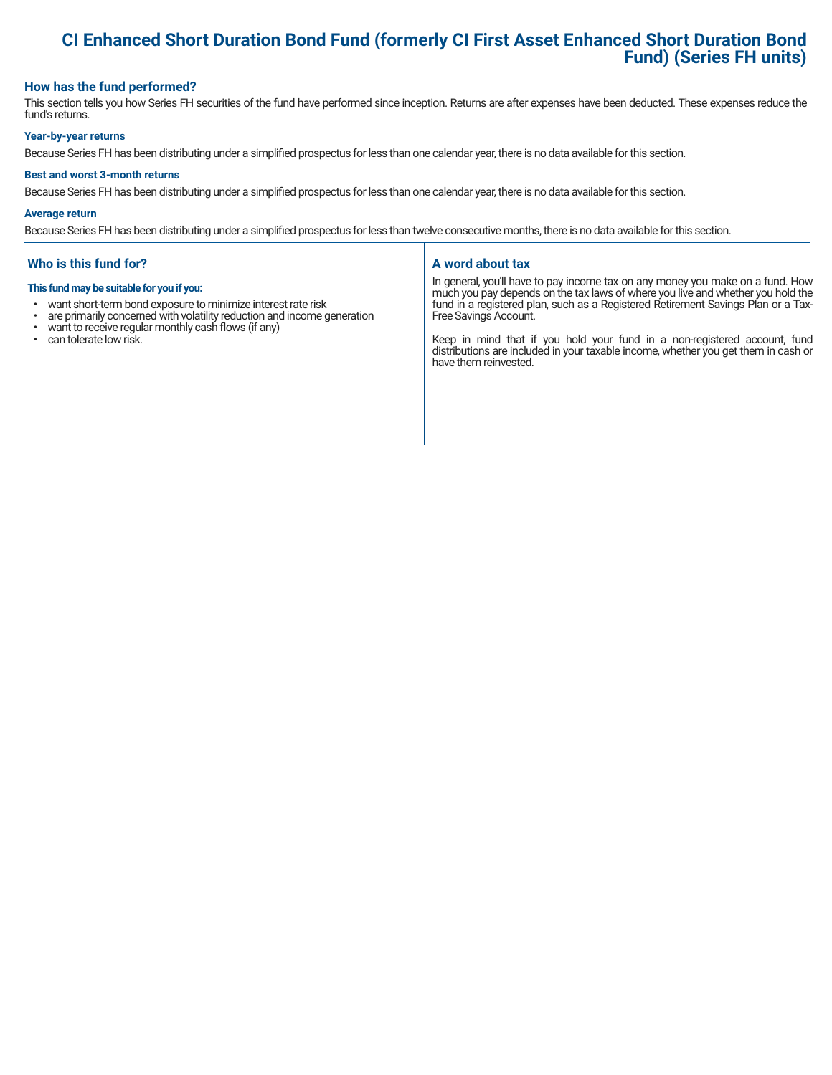## **CI Enhanced Short Duration Bond Fund (formerly CI First Asset Enhanced Short Duration Bond Fund) (Series FH units)**

#### **How has the fund performed?**

This section tells you how Series FH securities of the fund have performed since inception. Returns are after expenses have been deducted. These expenses reduce the fund's returns.

#### **Year-by-year returns**

Because Series FH has been distributing under a simplified prospectus for less than one calendar year, there is no data available for this section.

#### **Best and worst 3-month returns**

Because Series FH has been distributing under a simplified prospectus for less than one calendar year, there is no data available for this section.

#### **Average return**

Because Series FH has been distributing under a simplified prospectus for less than twelve consecutive months, there is no data available for this section.

#### **Who is this fund for?**

#### **This fund may be suitable for you if you:**

- want short-term bond exposure to minimize interest rate risk<br>• are primarily concerned with volatility reduction and income of
- are primarily concerned with volatility reduction and income generation  $\cdot$  want to receive requilar monthly cash flows (if any)
- want to receive regular monthly cash flows (if any)<br>• can tolerate low risk
- can tolerate low risk.

#### **A word about tax**

In general, you'll have to pay income tax on any money you make on a fund. How much you pay depends on the tax laws of where you live and whether you hold the fund in a registered plan, such as a Registered Retirement Savings Plan or a Tax-Free Savings Account.

Keep in mind that if you hold your fund in a non-registered account, fund distributions are included in your taxable income, whether you get them in cash or have them reinvested.